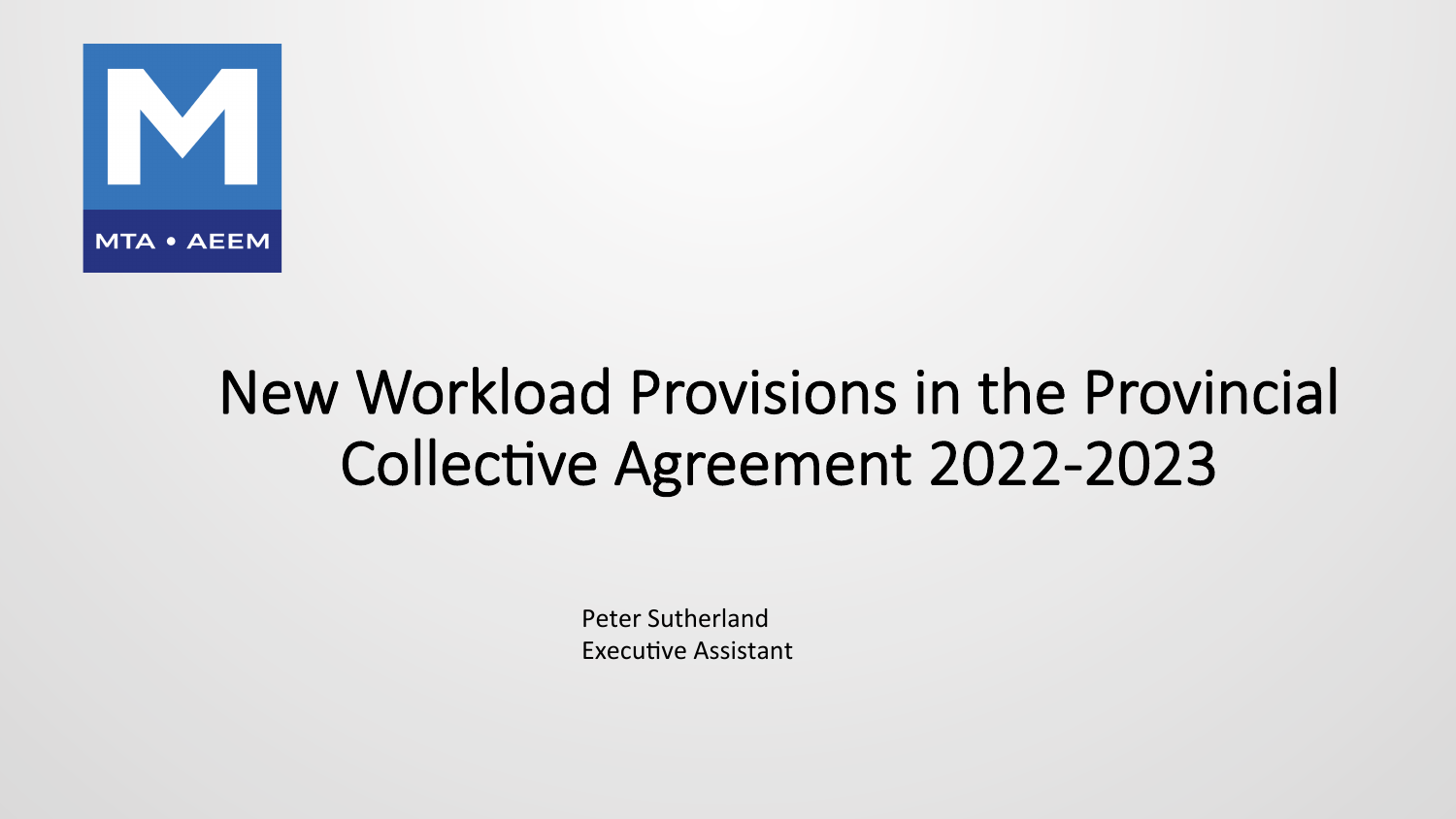

# New Workload Provisions in the Provincial Collective Agreement 2022-2023

Peter Sutherland Executive Assistant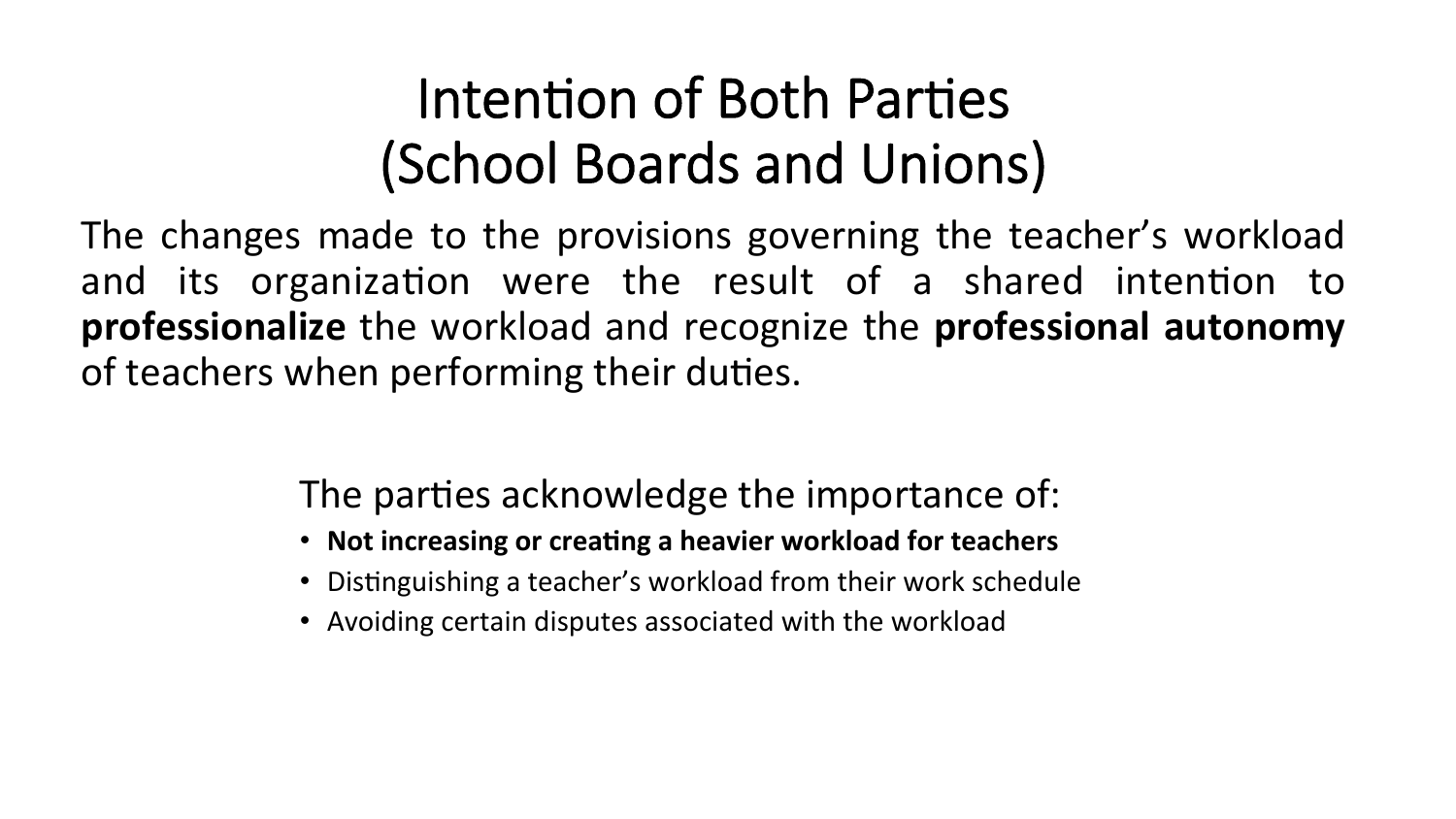## Intention of Both Parties (School Boards and Unions)

The changes made to the provisions governing the teacher's workload and its organization were the result of a shared intention to **professionalize** the workload and recognize the **professional autonomy** of teachers when performing their duties.

The parties acknowledge the importance of:

- Not increasing or creating a heavier workload for teachers
- Distinguishing a teacher's workload from their work schedule
- Avoiding certain disputes associated with the workload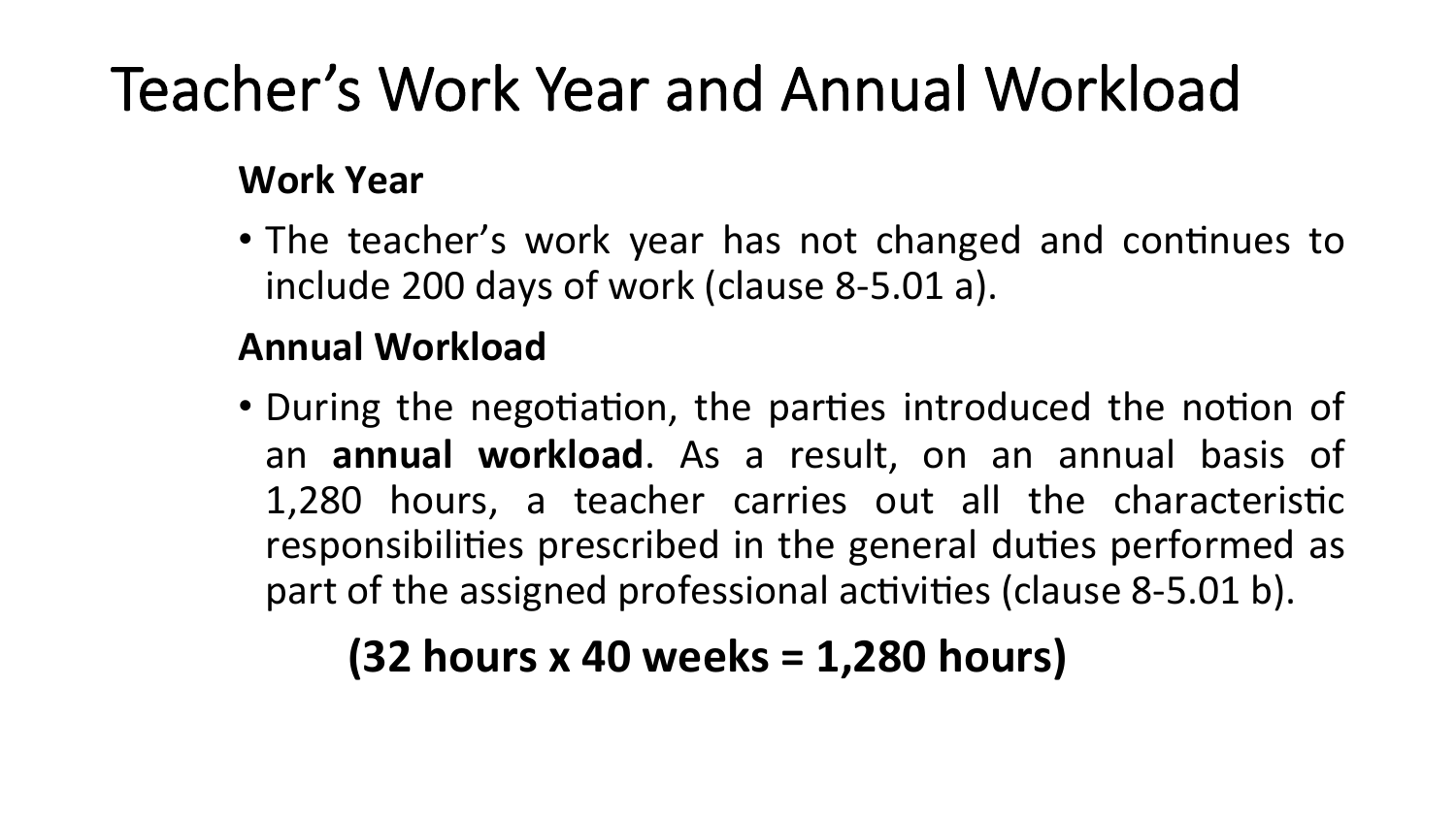# Teacher's Work Year and Annual Workload

### **Work Year**

• The teacher's work year has not changed and continues to include 200 days of work (clause 8-5.01 a).

### **Annual Workload**

• During the negotiation, the parties introduced the notion of an **annual workload**. As a result, on an annual basis of 1,280 hours, a teacher carries out all the characteristic responsibilities prescribed in the general duties performed as part of the assigned professional activities (clause 8-5.01 b).

### **(32 hours x 40 weeks = 1,280 hours)**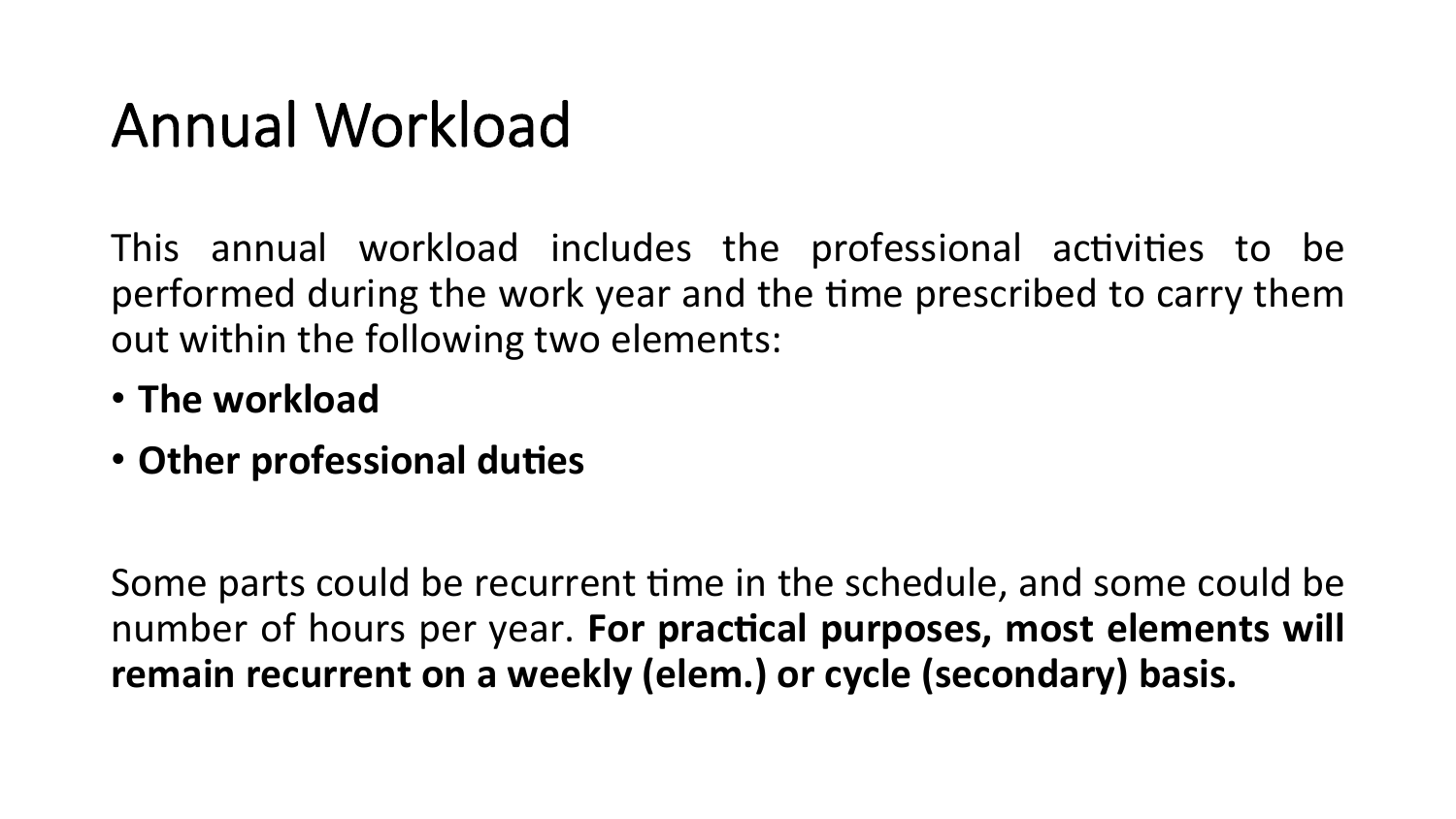# Annual Workload

This annual workload includes the professional activities to be performed during the work year and the time prescribed to carry them out within the following two elements:

- The workload
- Other professional duties

Some parts could be recurrent time in the schedule, and some could be number of hours per year. For practical purposes, most elements will remain recurrent on a weekly (elem.) or cycle (secondary) basis.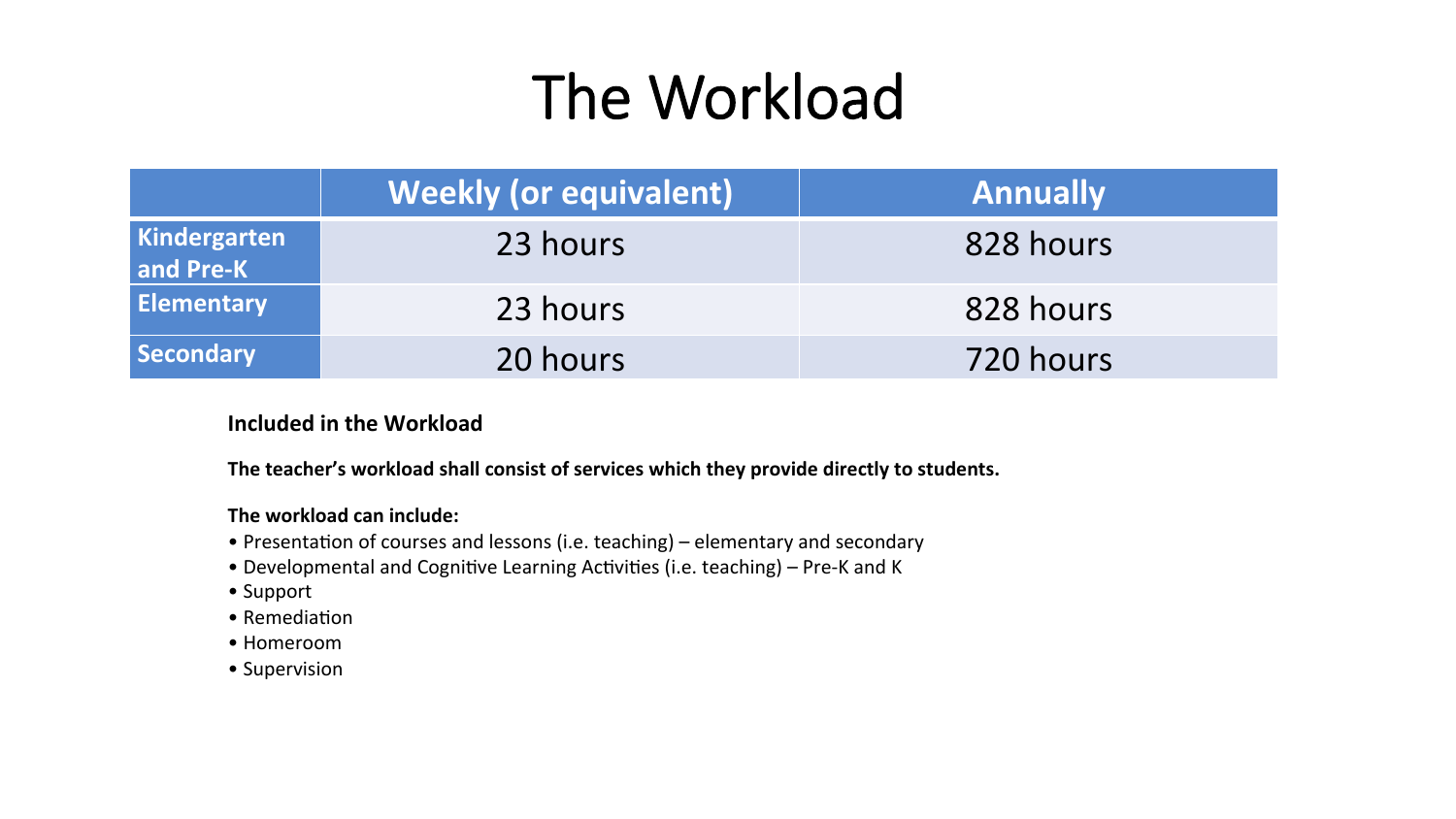# The Workload

|                           | <b>Weekly (or equivalent)</b> | <b>Annually</b> |
|---------------------------|-------------------------------|-----------------|
| Kindergarten<br>and Pre-K | 23 hours                      | 828 hours       |
| <b>Elementary</b>         | 23 hours                      | 828 hours       |
| Secondary                 | 20 hours                      | 720 hours       |

#### **Included in the Workload**

The teacher's workload shall consist of services which they provide directly to students.

#### The workload can include:

- Presentation of courses and lessons (i.e. teaching) elementary and secondary
- Developmental and Cognitive Learning Activities (i.e. teaching) Pre-K and K
- • Support
- $\bullet$  Remediation
- • Homeroom
- Supervision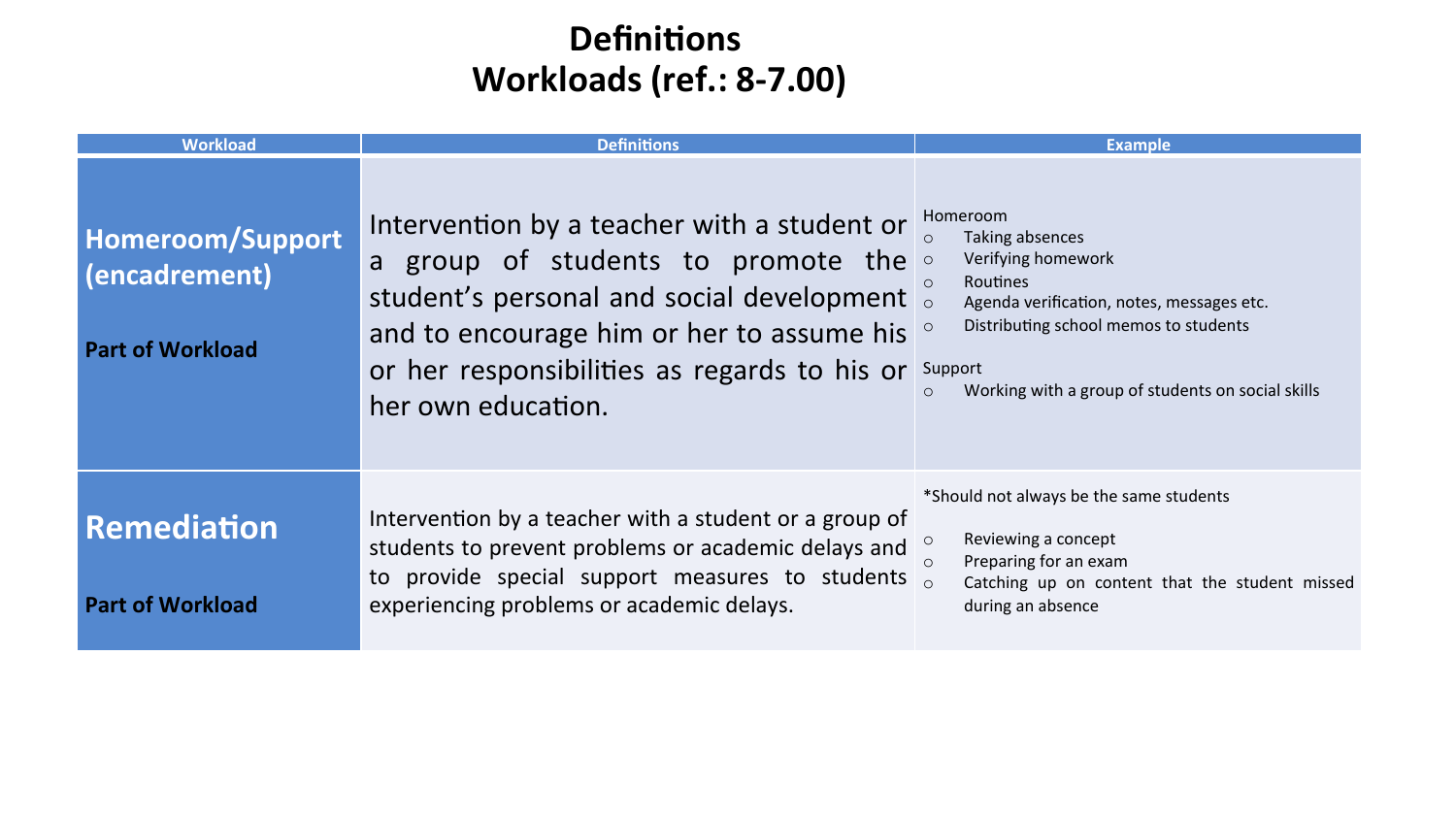### **Definitions Workloads (ref.: 8-7.00)**

| <b>Workload</b>                                              | <b>Definitions</b>                                                                                                                                                                                                                                                             | <b>Example</b>                                                                                                                                                                                                                                       |
|--------------------------------------------------------------|--------------------------------------------------------------------------------------------------------------------------------------------------------------------------------------------------------------------------------------------------------------------------------|------------------------------------------------------------------------------------------------------------------------------------------------------------------------------------------------------------------------------------------------------|
| Homeroom/Support<br>(encadrement)<br><b>Part of Workload</b> | Intervention by a teacher with a student or<br><b>group of students to promote the <math>\circ</math></b><br>a<br>student's personal and social development<br>and to encourage him or her to assume his<br>or her responsibilities as regards to his or<br>her own education. | Homeroom<br>Taking absences<br>Verifying homework<br>Routines<br>$\circ$<br>Agenda verification, notes, messages etc.<br>Distributing school memos to students<br>$\circ$<br>Support<br>Working with a group of students on social skills<br>$\circ$ |
| <b>Remediation</b><br><b>Part of Workload</b>                | Intervention by a teacher with a student or a group of<br>students to prevent problems or academic delays and<br>to provide special support measures to students $\frac{8}{9}$<br>experiencing problems or academic delays.                                                    | *Should not always be the same students<br>Reviewing a concept<br>$\circ$<br>Preparing for an exam<br>$\cap$<br>Catching up on content that the student missed<br>during an absence                                                                  |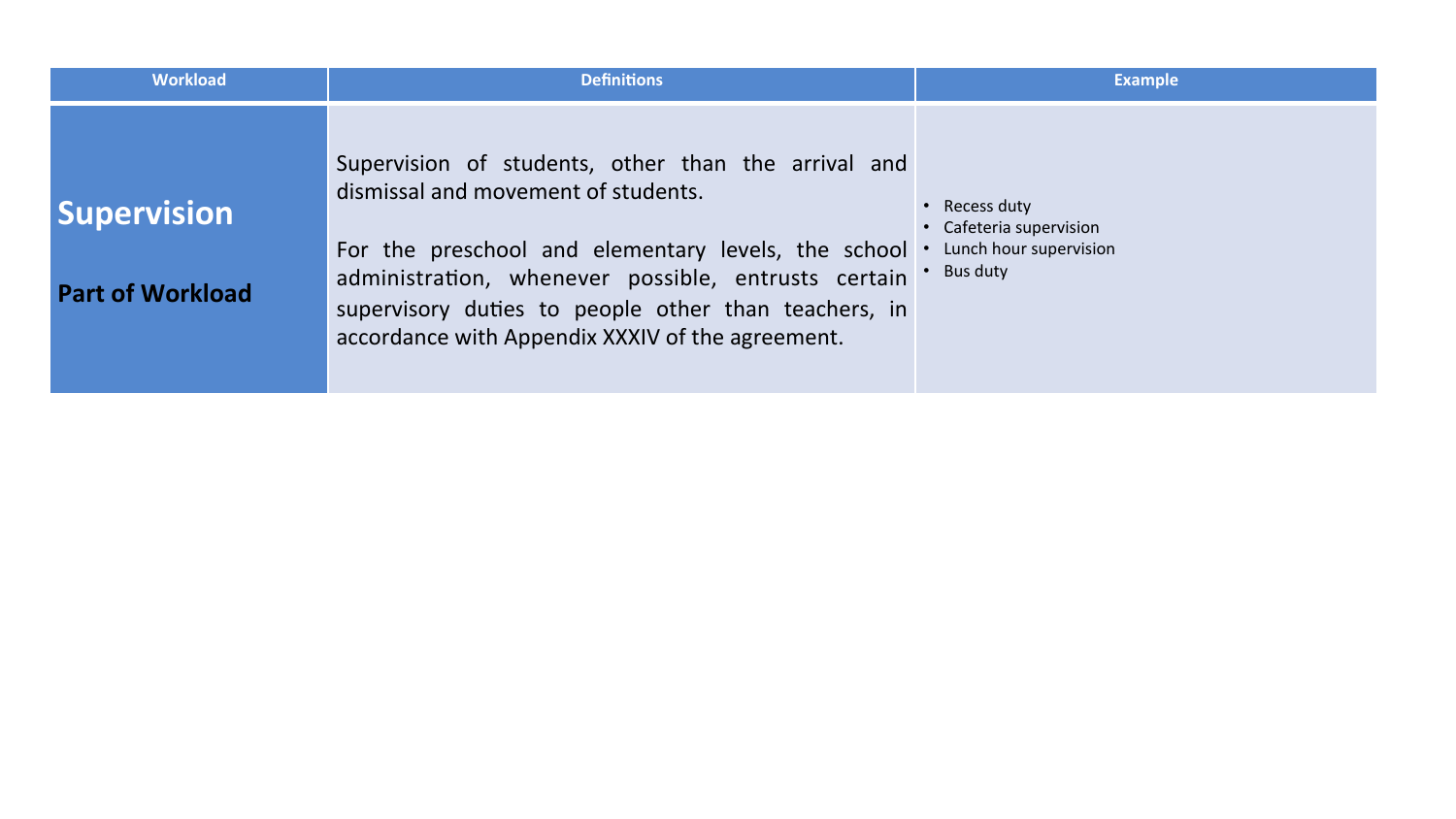| <b>Workload</b>                               | <b>Definitions</b>                                                                                                                                                                                                                                                                                                   | <b>Example</b>                                                               |
|-----------------------------------------------|----------------------------------------------------------------------------------------------------------------------------------------------------------------------------------------------------------------------------------------------------------------------------------------------------------------------|------------------------------------------------------------------------------|
| <b>Supervision</b><br><b>Part of Workload</b> | Supervision of students, other than the arrival and<br>dismissal and movement of students.<br>For the preschool and elementary levels, the school<br>administration, whenever possible, entrusts certain<br>supervisory duties to people other than teachers, in<br>accordance with Appendix XXXIV of the agreement. | Recess duty<br>• Cafeteria supervision<br>Lunch hour supervision<br>Bus duty |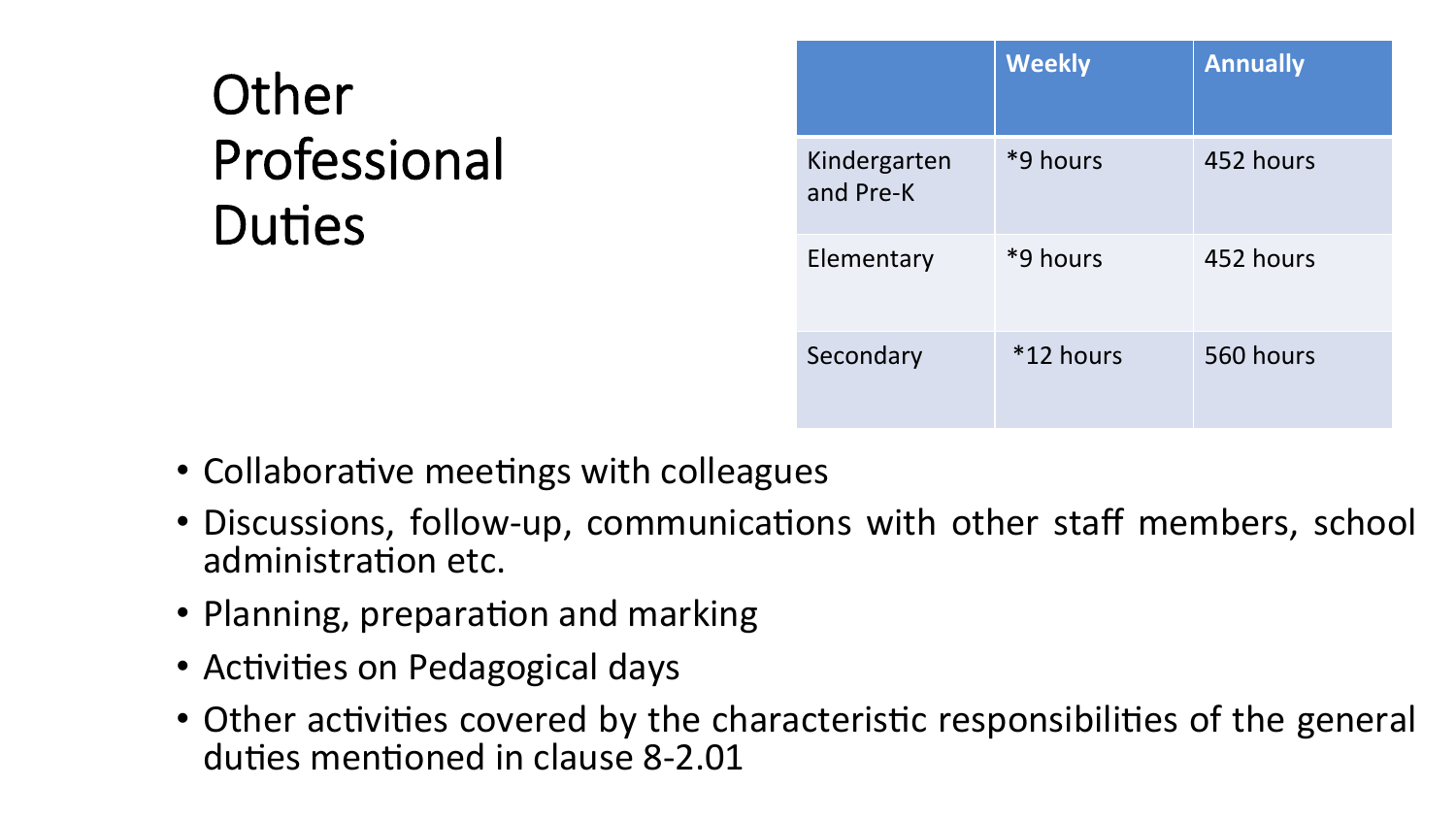## **Other** Professional Duties

|                           | <b>Weekly</b> | <b>Annually</b> |
|---------------------------|---------------|-----------------|
| Kindergarten<br>and Pre-K | *9 hours      | 452 hours       |
| Elementary                | *9 hours      | 452 hours       |
| Secondary                 | $*12$ hours   | 560 hours       |

- Collaborative meetings with colleagues
- Discussions, follow-up, communications with other staff members, school administration etc.
- Planning, preparation and marking
- Activities on Pedagogical days
- Other activities covered by the characteristic responsibilities of the general duties mentioned in clause 8-2.01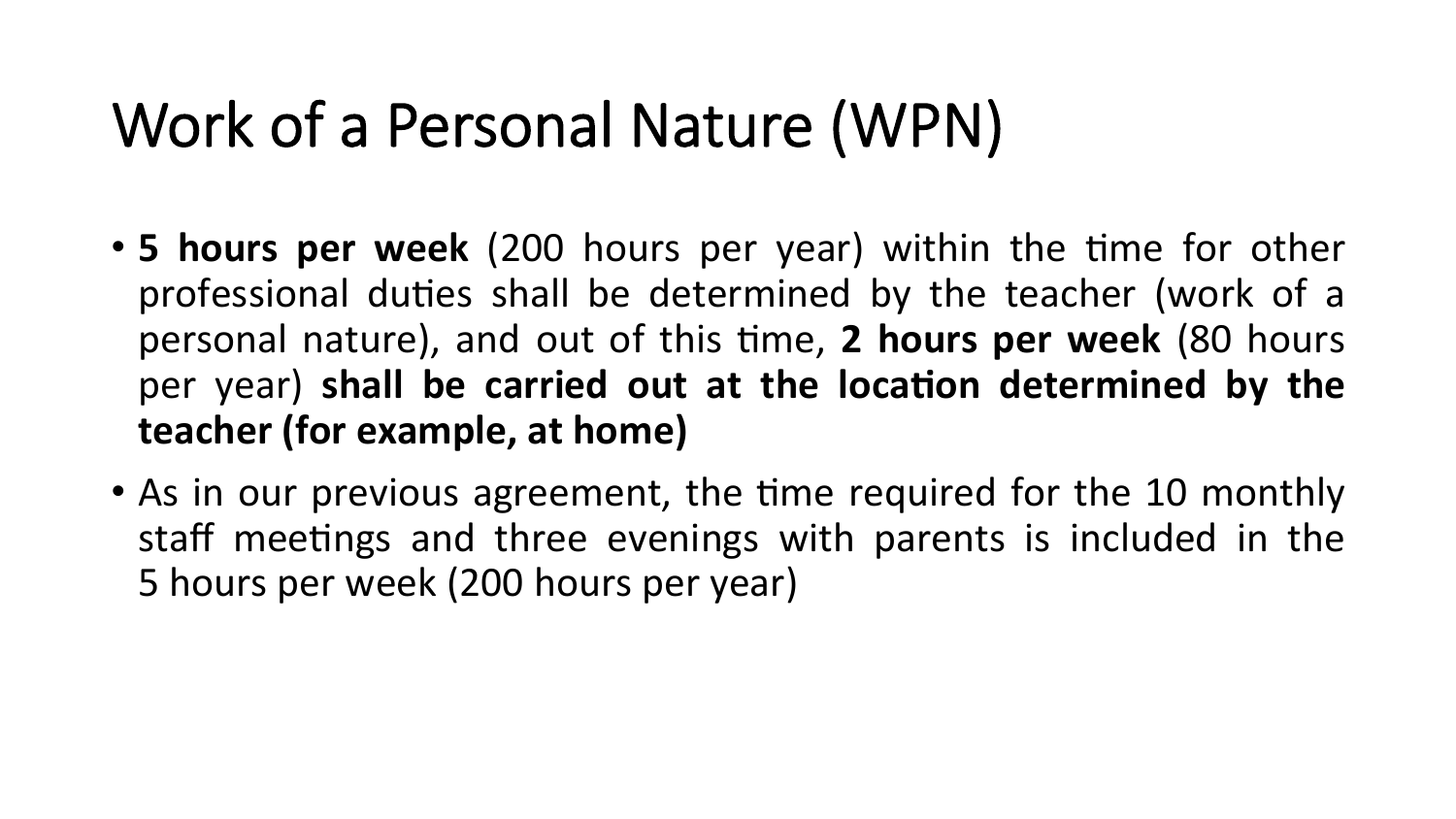# Work of a Personal Nature (WPN)

- 5 hours per week (200 hours per year) within the time for other professional duties shall be determined by the teacher (work of a personal nature), and out of this time, 2 hours per week (80 hours per year) shall be carried out at the location determined by the **teacher (for example, at home)**
- As in our previous agreement, the time required for the 10 monthly staff meetings and three evenings with parents is included in the 5 hours per week (200 hours per year)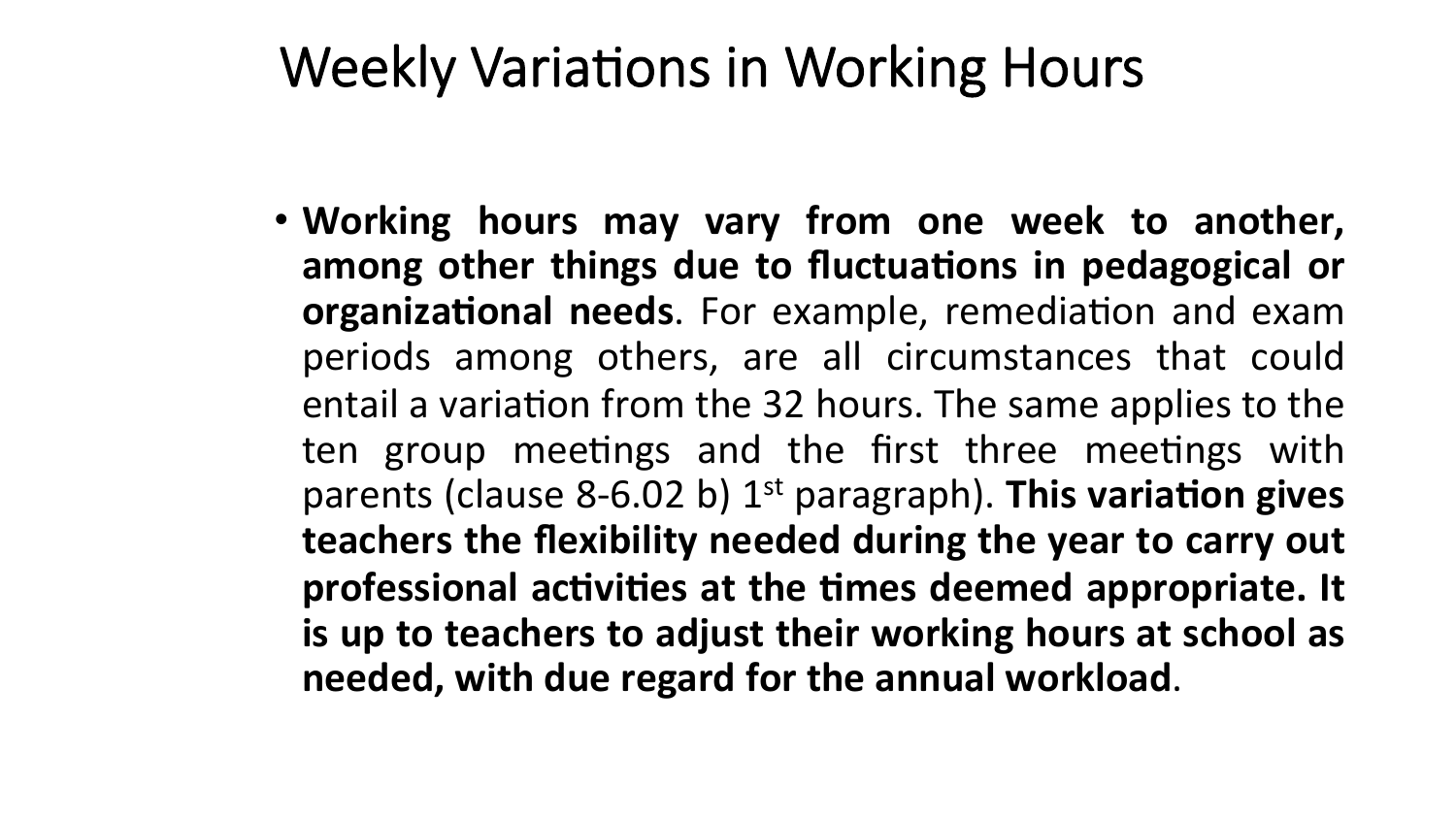## Weekly Variations in Working Hours

• Working hours may vary from one week to another, among other things due to fluctuations in pedagogical or **organizational needs**. For example, remediation and exam periods among others, are all circumstances that could entail a variation from the 32 hours. The same applies to the ten group meetings and the first three meetings with parents (clause 8-6.02 b) 1<sup>st</sup> paragraph). This variation gives **teachers the flexibility needed during the year to carry out** professional activities at the times deemed appropriate. It is up to teachers to adjust their working hours at school as needed, with due regard for the annual workload.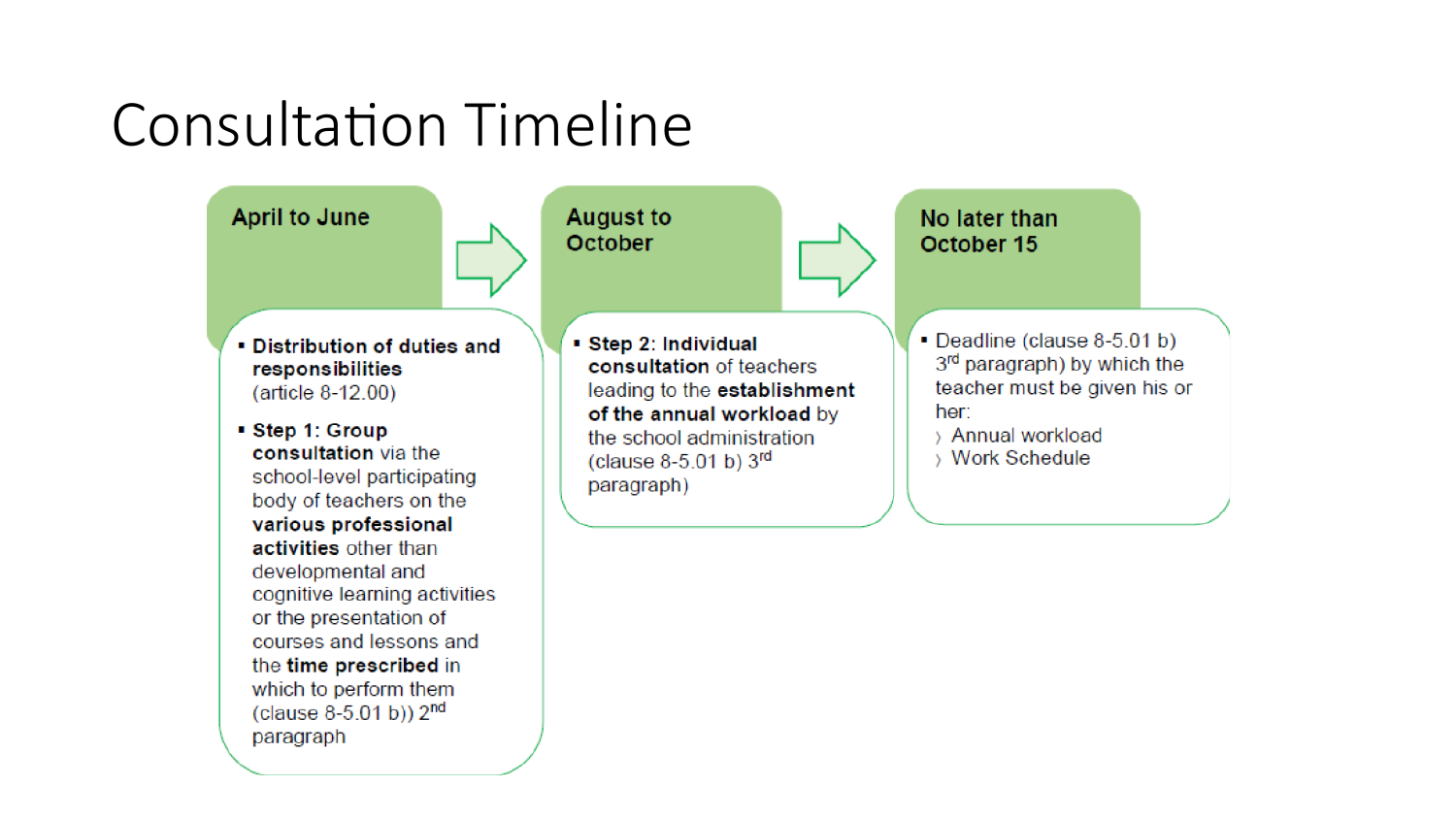## Consultation Timeline